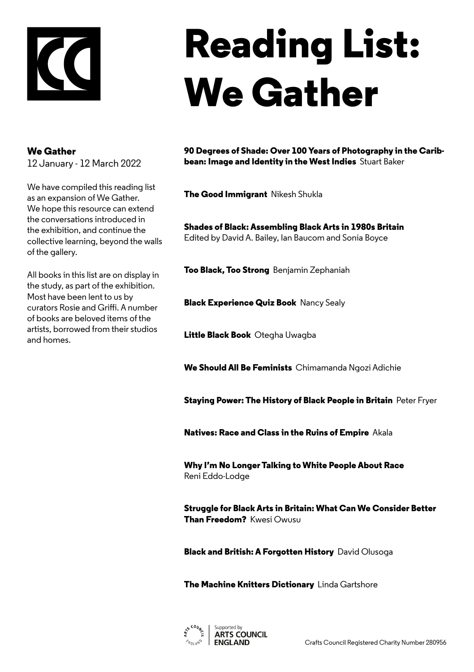

## **Reading List: We Gather**

## **We Gather**

12 January - 12 March 2022

We have compiled this reading list as an expansion of We Gather. We hope this resource can extend the conversations introduced in the exhibition, and continue the collective learning, beyond the walls of the gallery.

All books in this list are on display in the study, as part of the exhibition. Most have been lent to us by curators Rosie and Griffi. A number of books are beloved items of the artists, borrowed from their studios and homes.

**90 Degrees of Shade: Over 100 Years of Photography in the Caribbean: Image and Identity in the West Indies** Stuart Baker

**The Good Immigrant** Nikesh Shukla

**Shades of Black: Assembling Black Arts in 1980s Britain**  Edited by David A. Bailey, Ian Baucom and Sonia Boyce

**Too Black, Too Strong** Benjamin Zephaniah

**Black Experience Quiz Book** Nancy Sealy

**Little Black Book** Otegha Uwagba

**We Should All Be Feminists** Chimamanda Ngozi Adichie

**Staying Power: The History of Black People in Britain** Peter Fryer

**Natives: Race and Class in the Ruins of Empire** Akala

**Why I'm No Longer Talking to White People About Race** Reni Eddo-Lodge

**Struggle for Black Arts in Britain: What Can We Consider Better Than Freedom?** Kwesi Owusu

**Black and British: A Forgotten History** David Olusoga

**The Machine Knitters Dictionary** Linda Gartshore